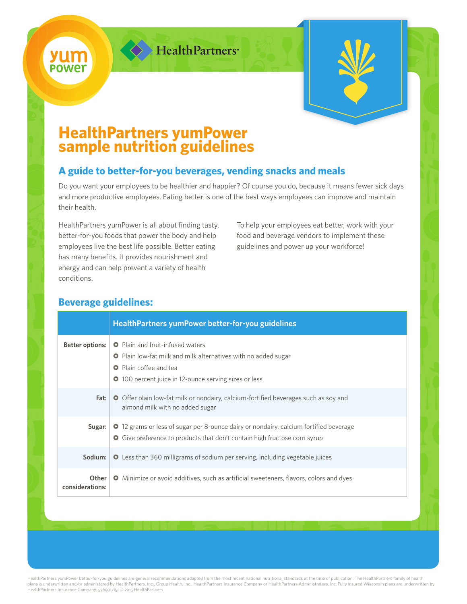

HealthPartners<sup>®</sup>



# **HealthPartners yumPower sample nutrition guidelines**

### **A guide to better-for-you beverages, vending snacks and meals**

Do you want your employees to be healthier and happier? Of course you do, because it means fewer sick days and more productive employees. Eating better is one of the best ways employees can improve and maintain their health.

HealthPartners yumPower is all about finding tasty, better-for-you foods that power the body and help employees live the best life possible. Better eating has many benefits. It provides nourishment and energy and can help prevent a variety of health conditions.

To help your employees eat better, work with your food and beverage vendors to implement these guidelines and power up your workforce!

#### **Beverage guidelines:**

|                          | HealthPartners yumPower better-for-you guidelines                                                                                                                                                                 |
|--------------------------|-------------------------------------------------------------------------------------------------------------------------------------------------------------------------------------------------------------------|
| <b>Better options:</b>   | <b>O</b> Plain and fruit-infused waters<br><b>O</b> Plain low-fat milk and milk alternatives with no added sugar<br><b>O</b> Plain coffee and tea<br><b>O</b> 100 percent juice in 12-ounce serving sizes or less |
| Fat:                     | <b>O</b> Offer plain low-fat milk or nondairy, calcium-fortified beverages such as soy and<br>almond milk with no added sugar                                                                                     |
| Sugar:                   | <b>O</b> 12 grams or less of sugar per 8-ounce dairy or nondairy, calcium fortified beverage<br>Give preference to products that don't contain high fructose corn syrup<br>$\bullet$                              |
| Sodium:                  | <b>O</b> Less than 360 milligrams of sodium per serving, including vegetable juices                                                                                                                               |
| Other<br>considerations: | <b>O</b> Minimize or avoid additives, such as artificial sweeteners, flavors, colors and dyes                                                                                                                     |

HealthPartners yumPower better-for-you guidelines are general recommendations adapted from the most recent national nutritional standards at the time of publication. The HealthPartners family of health plans is underwritten and/or administered by HealthPartners, Inc., Group Health, Inc., HealthPartners Insurance Company or HealthPartners Administrators, Inc. Fully insured Wisconsin plans are underwritten by HealthPartners Insurance Company. 5769 (1/15) © 2015 HealthPartners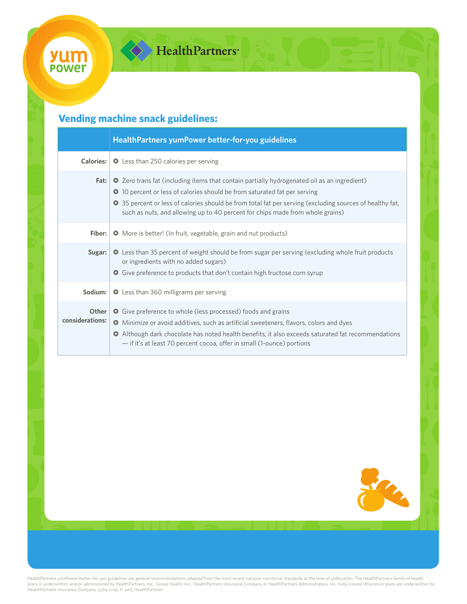## **Vending machine snack guidelines:**

|                          | HealthPartners yumPower better-for-you guidelines                                                                                                                                                                                                                                                                                                                                          |
|--------------------------|--------------------------------------------------------------------------------------------------------------------------------------------------------------------------------------------------------------------------------------------------------------------------------------------------------------------------------------------------------------------------------------------|
| <b>Calories:</b>         | <b>O</b> Less than 250 calories per serving                                                                                                                                                                                                                                                                                                                                                |
| Fat:                     | <b>O</b> Zero trans fat (including items that contain partially hydrogenated oil as an ingredient)<br><b>O</b> 10 percent or less of calories should be from saturated fat per serving<br><b>O</b> 35 percent or less of calories should be from total fat per serving (excluding sources of healthy fat,<br>such as nuts, and allowing up to 40 percent for chips made from whole grains) |
| Fiber:                   | • More is better! (In fruit, vegetable, grain and nut products)                                                                                                                                                                                                                                                                                                                            |
| Sugar:                   | O Less than 35 percent of weight should be from sugar per serving (excluding whole fruit products<br>or ingredients with no added sugars)<br><b>O</b> Give preference to products that don't contain high fructose corn syrup                                                                                                                                                              |
| Sodium:                  | <b>O</b> Less than 360 milligrams per serving                                                                                                                                                                                                                                                                                                                                              |
| Other<br>considerations: | <b>O</b> Give preference to whole (less processed) foods and grains<br><b>O</b> Minimize or avoid additives, such as artificial sweeteners, flavors, colors and dyes<br>O Although dark chocolate has noted health benefits, it also exceeds saturated fat recommendations<br>- if it's at least 70 percent cocoa, offer in small (1-ounce) portions                                       |



HealthPartners yumPower better-for-you guidelines are general recommendations adapted from the most recent national nutritional standards at the time of publication. The HealthPartners family of health<br>plans is underwritte HealthPartners Insurance Company. 5769 (1/15) © 2015 HealthPartners